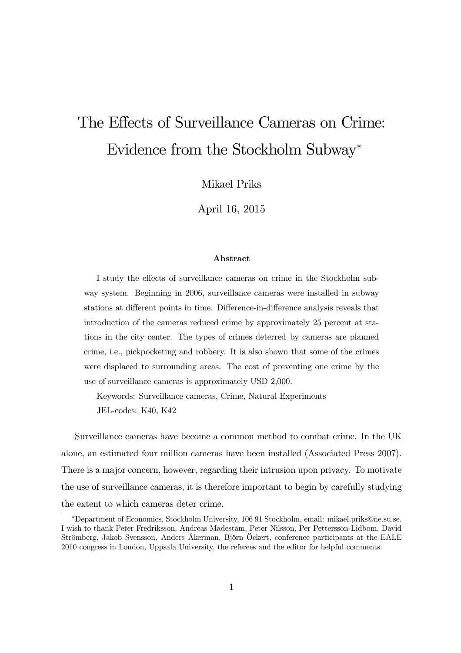# The Effects of Surveillance Cameras on Crime: Evidence from the Stockholm Subway<sup>∗</sup>

Mikael Priks

April 16, 2015

#### Abstract

I study the effects of surveillance cameras on crime in the Stockholm subway system. Beginning in 2006, surveillance cameras were installed in subway stations at different points in time. Difference-in-difference analysis reveals that introduction of the cameras reduced crime by approximately 25 percent at stations in the city center. The types of crimes deterred by cameras are planned crime, i.e., pickpocketing and robbery. It is also shown that some of the crimes were displaced to surrounding areas. The cost of preventing one crime by the use of surveillance cameras is approximately USD 2,000.

Keywords: Surveillance cameras, Crime, Natural Experiments JEL-codes: K40, K42

Surveillance cameras have become a common method to combat crime. In the UK alone, an estimated four million cameras have been installed (Associated Press 2007). There is a major concern, however, regarding their intrusion upon privacy. To motivate the use of surveillance cameras, it is therefore important to begin by carefully studying the extent to which cameras deter crime.

<sup>∗</sup>Department of Economics, Stockholm University, 106 91 Stockholm, email: mikael.priks@ne.su.se. I wish to thank Peter Fredriksson, Andreas Madestam, Peter Nilsson, Per Pettersson-Lidbom, David Strömberg, Jakob Svensson, Anders Åkerman, Björn Öckert, conference participants at the EALE 2010 congress in London, Uppsala University, the referees and the editor for helpful comments.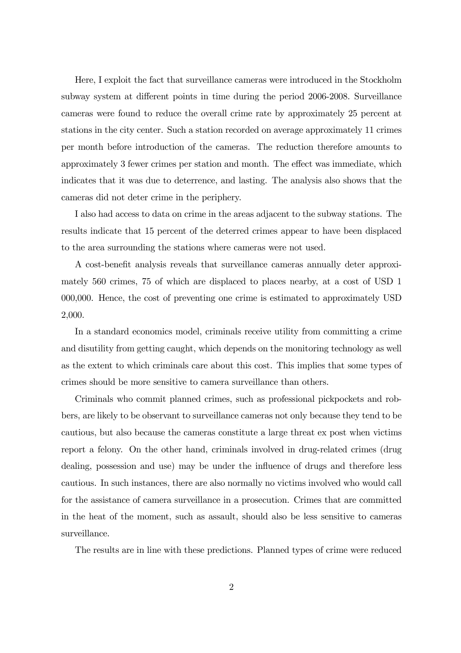Here, I exploit the fact that surveillance cameras were introduced in the Stockholm subway system at different points in time during the period 2006-2008. Surveillance cameras were found to reduce the overall crime rate by approximately 25 percent at stations in the city center. Such a station recorded on average approximately 11 crimes per month before introduction of the cameras. The reduction therefore amounts to approximately 3 fewer crimes per station and month. The effect was immediate, which indicates that it was due to deterrence, and lasting. The analysis also shows that the cameras did not deter crime in the periphery.

I also had access to data on crime in the areas adjacent to the subway stations. The results indicate that 15 percent of the deterred crimes appear to have been displaced to the area surrounding the stations where cameras were not used.

A cost-benefit analysis reveals that surveillance cameras annually deter approximately 560 crimes, 75 of which are displaced to places nearby, at a cost of USD 1 000,000. Hence, the cost of preventing one crime is estimated to approximately USD 2,000.

In a standard economics model, criminals receive utility from committing a crime and disutility from getting caught, which depends on the monitoring technology as well as the extent to which criminals care about this cost. This implies that some types of crimes should be more sensitive to camera surveillance than others.

Criminals who commit planned crimes, such as professional pickpockets and robbers, are likely to be observant to surveillance cameras not only because they tend to be cautious, but also because the cameras constitute a large threat ex post when victims report a felony. On the other hand, criminals involved in drug-related crimes (drug dealing, possession and use) may be under the influence of drugs and therefore less cautious. In such instances, there are also normally no victims involved who would call for the assistance of camera surveillance in a prosecution. Crimes that are committed in the heat of the moment, such as assault, should also be less sensitive to cameras surveillance.

The results are in line with these predictions. Planned types of crime were reduced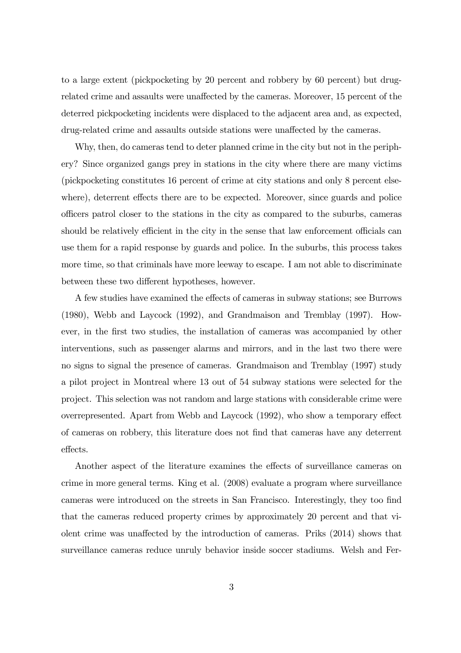to a large extent (pickpocketing by 20 percent and robbery by 60 percent) but drugrelated crime and assaults were unaffected by the cameras. Moreover, 15 percent of the deterred pickpocketing incidents were displaced to the adjacent area and, as expected, drug-related crime and assaults outside stations were unaffected by the cameras.

Why, then, do cameras tend to deter planned crime in the city but not in the periphery? Since organized gangs prey in stations in the city where there are many victims (pickpocketing constitutes 16 percent of crime at city stations and only 8 percent elsewhere), deterrent effects there are to be expected. Moreover, since guards and police officers patrol closer to the stations in the city as compared to the suburbs, cameras should be relatively efficient in the city in the sense that law enforcement officials can use them for a rapid response by guards and police. In the suburbs, this process takes more time, so that criminals have more leeway to escape. I am not able to discriminate between these two different hypotheses, however.

A few studies have examined the effects of cameras in subway stations; see Burrows (1980), Webb and Laycock (1992), and Grandmaison and Tremblay (1997). However, in the first two studies, the installation of cameras was accompanied by other interventions, such as passenger alarms and mirrors, and in the last two there were no signs to signal the presence of cameras. Grandmaison and Tremblay (1997) study a pilot project in Montreal where 13 out of 54 subway stations were selected for the project. This selection was not random and large stations with considerable crime were overrepresented. Apart from Webb and Laycock (1992), who show a temporary effect of cameras on robbery, this literature does not find that cameras have any deterrent effects.

Another aspect of the literature examines the effects of surveillance cameras on crime in more general terms. King et al. (2008) evaluate a program where surveillance cameras were introduced on the streets in San Francisco. Interestingly, they too find that the cameras reduced property crimes by approximately 20 percent and that violent crime was unaffected by the introduction of cameras. Priks (2014) shows that surveillance cameras reduce unruly behavior inside soccer stadiums. Welsh and Fer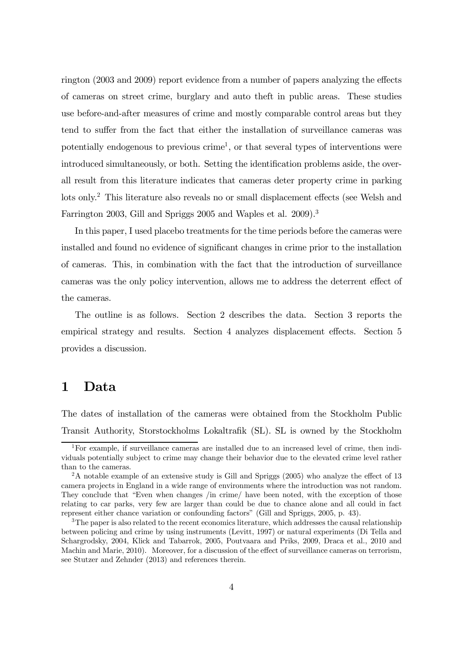rington (2003 and 2009) report evidence from a number of papers analyzing the effects of cameras on street crime, burglary and auto theft in public areas. These studies use before-and-after measures of crime and mostly comparable control areas but they tend to suffer from the fact that either the installation of surveillance cameras was potentially endogenous to previous crime<sup>1</sup>, or that several types of interventions were introduced simultaneously, or both. Setting the identification problems aside, the overall result from this literature indicates that cameras deter property crime in parking lots only.<sup>2</sup> This literature also reveals no or small displacement effects (see Welsh and Farrington 2003, Gill and Spriggs 2005 and Waples et al. 2009).<sup>3</sup>

In this paper, I used placebo treatments for the time periods before the cameras were installed and found no evidence of significant changes in crime prior to the installation of cameras. This, in combination with the fact that the introduction of surveillance cameras was the only policy intervention, allows me to address the deterrent effect of the cameras.

The outline is as follows. Section 2 describes the data. Section 3 reports the empirical strategy and results. Section 4 analyzes displacement effects. Section 5 provides a discussion.

#### 1 Data

The dates of installation of the cameras were obtained from the Stockholm Public Transit Authority, Storstockholms Lokaltrafik (SL). SL is owned by the Stockholm

<sup>1</sup>For example, if surveillance cameras are installed due to an increased level of crime, then individuals potentially subject to crime may change their behavior due to the elevated crime level rather than to the cameras.

<sup>&</sup>lt;sup>2</sup>A notable example of an extensive study is Gill and Spriggs (2005) who analyze the effect of 13 camera projects in England in a wide range of environments where the introduction was not random. They conclude that "Even when changes /in crime/ have been noted, with the exception of those relating to car parks, very few are larger than could be due to chance alone and all could in fact represent either chance variation or confounding factors" (Gill and Spriggs, 2005, p. 43).

<sup>&</sup>lt;sup>3</sup>The paper is also related to the recent economics literature, which addresses the causal relationship between policing and crime by using instruments (Levitt, 1997) or natural experiments (Di Tella and Schargrodsky, 2004, Klick and Tabarrok, 2005, Poutvaara and Priks, 2009, Draca et al., 2010 and Machin and Marie, 2010). Moreover, for a discussion of the effect of surveillance cameras on terrorism, see Stutzer and Zehnder (2013) and references therein.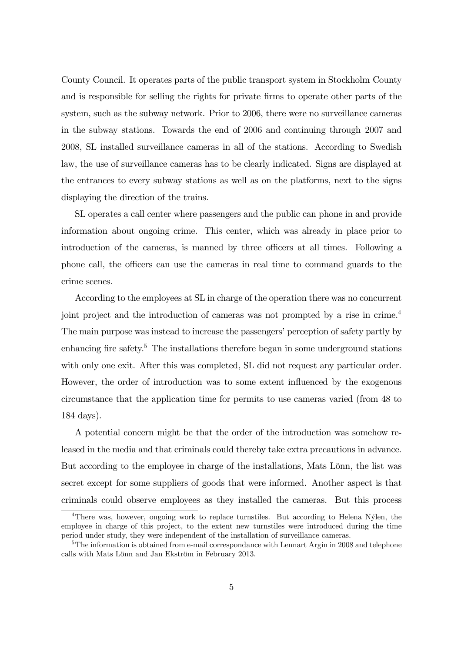County Council. It operates parts of the public transport system in Stockholm County and is responsible for selling the rights for private firms to operate other parts of the system, such as the subway network. Prior to 2006, there were no surveillance cameras in the subway stations. Towards the end of 2006 and continuing through 2007 and 2008, SL installed surveillance cameras in all of the stations. According to Swedish law, the use of surveillance cameras has to be clearly indicated. Signs are displayed at the entrances to every subway stations as well as on the platforms, next to the signs displaying the direction of the trains.

SL operates a call center where passengers and the public can phone in and provide information about ongoing crime. This center, which was already in place prior to introduction of the cameras, is manned by three officers at all times. Following a phone call, the officers can use the cameras in real time to command guards to the crime scenes.

According to the employees at SL in charge of the operation there was no concurrent joint project and the introduction of cameras was not prompted by a rise in crime.<sup>4</sup> The main purpose was instead to increase the passengers' perception of safety partly by enhancing fire safety.<sup>5</sup> The installations therefore began in some underground stations with only one exit. After this was completed, SL did not request any particular order. However, the order of introduction was to some extent influenced by the exogenous circumstance that the application time for permits to use cameras varied (from 48 to 184 days).

A potential concern might be that the order of the introduction was somehow released in the media and that criminals could thereby take extra precautions in advance. But according to the employee in charge of the installations, Mats Lönn, the list was secret except for some suppliers of goods that were informed. Another aspect is that criminals could observe employees as they installed the cameras. But this process

<sup>4</sup>There was, however, ongoing work to replace turnstiles. But according to Helena Nýlen, the employee in charge of this project, to the extent new turnstiles were introduced during the time period under study, they were independent of the installation of surveillance cameras.

 $5$ The information is obtained from e-mail correspondance with Lennart Argin in 2008 and telephone calls with Mats Lönn and Jan Ekström in February 2013.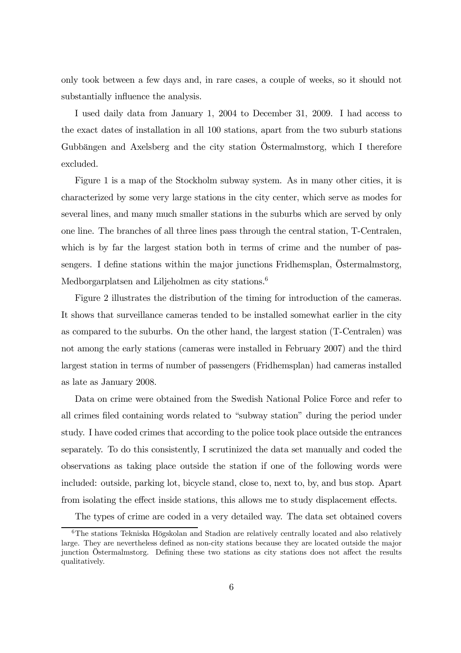only took between a few days and, in rare cases, a couple of weeks, so it should not substantially influence the analysis.

I used daily data from January 1, 2004 to December 31, 2009. I had access to the exact dates of installation in all 100 stations, apart from the two suburb stations Gubbängen and Axelsberg and the city station Östermalmstorg, which I therefore excluded.

Figure 1 is a map of the Stockholm subway system. As in many other cities, it is characterized by some very large stations in the city center, which serve as modes for several lines, and many much smaller stations in the suburbs which are served by only one line. The branches of all three lines pass through the central station, T-Centralen, which is by far the largest station both in terms of crime and the number of passengers. I define stations within the major junctions Fridhemsplan, Östermalmstorg, Medborgarplatsen and Liljeholmen as city stations.<sup>6</sup>

Figure 2 illustrates the distribution of the timing for introduction of the cameras. It shows that surveillance cameras tended to be installed somewhat earlier in the city as compared to the suburbs. On the other hand, the largest station (T-Centralen) was not among the early stations (cameras were installed in February 2007) and the third largest station in terms of number of passengers (Fridhemsplan) had cameras installed as late as January 2008.

Data on crime were obtained from the Swedish National Police Force and refer to all crimes filed containing words related to "subway station" during the period under study. I have coded crimes that according to the police took place outside the entrances separately. To do this consistently, I scrutinized the data set manually and coded the observations as taking place outside the station if one of the following words were included: outside, parking lot, bicycle stand, close to, next to, by, and bus stop. Apart from isolating the effect inside stations, this allows me to study displacement effects.

The types of crime are coded in a very detailed way. The data set obtained covers

<sup>6</sup>The stations Tekniska Högskolan and Stadion are relatively centrally located and also relatively large. They are nevertheless defined as non-city stations because they are located outside the major junction Östermalmstorg. Defining these two stations as city stations does not affect the results qualitatively.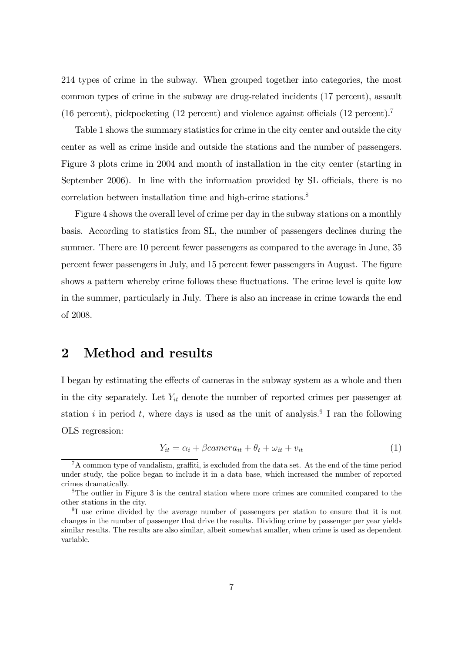214 types of crime in the subway. When grouped together into categories, the most common types of crime in the subway are drug-related incidents (17 percent), assault (16 percent), pickpocketing (12 percent) and violence against officials (12 percent).<sup>7</sup>

Table 1 shows the summary statistics for crime in the city center and outside the city center as well as crime inside and outside the stations and the number of passengers. Figure 3 plots crime in 2004 and month of installation in the city center (starting in September 2006). In line with the information provided by SL officials, there is no correlation between installation time and high-crime stations.<sup>8</sup>

Figure 4 shows the overall level of crime per day in the subway stations on a monthly basis. According to statistics from SL, the number of passengers declines during the summer. There are 10 percent fewer passengers as compared to the average in June, 35 percent fewer passengers in July, and 15 percent fewer passengers in August. The figure shows a pattern whereby crime follows these fluctuations. The crime level is quite low in the summer, particularly in July. There is also an increase in crime towards the end of 2008.

#### 2 Method and results

I began by estimating the effects of cameras in the subway system as a whole and then in the city separately. Let  $Y_{it}$  denote the number of reported crimes per passenger at station i in period t, where days is used as the unit of analysis.<sup>9</sup> I ran the following OLS regression:

$$
Y_{it} = \alpha_i + \beta camera_{it} + \theta_t + \omega_{it} + v_{it}
$$
\n<sup>(1)</sup>

 ${}^{7}$ A common type of vandalism, graffiti, is excluded from the data set. At the end of the time period under study, the police began to include it in a data base, which increased the number of reported crimes dramatically.

<sup>8</sup>The outlier in Figure 3 is the central station where more crimes are commited compared to the other stations in the city.

<sup>&</sup>lt;sup>9</sup>I use crime divided by the average number of passengers per station to ensure that it is not changes in the number of passenger that drive the results. Dividing crime by passenger per year yields similar results. The results are also similar, albeit somewhat smaller, when crime is used as dependent variable.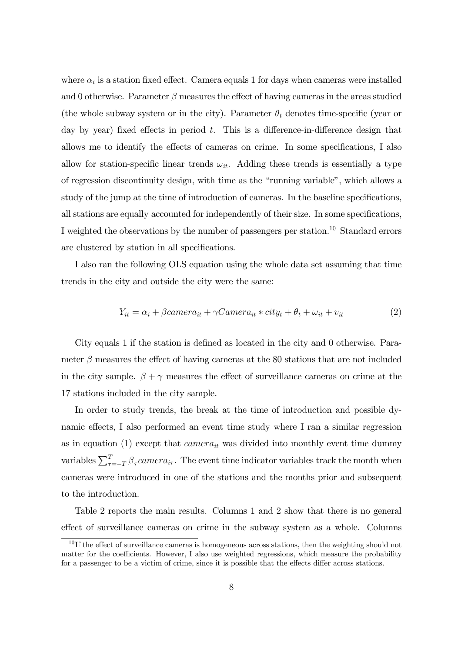where  $\alpha_i$  is a station fixed effect. Camera equals 1 for days when cameras were installed and 0 otherwise. Parameter  $\beta$  measures the effect of having cameras in the areas studied (the whole subway system or in the city). Parameter  $\theta_t$  denotes time-specific (year or day by year) fixed effects in period  $t$ . This is a difference-in-difference design that allows me to identify the effects of cameras on crime. In some specifications, I also allow for station-specific linear trends  $\omega_{it}$ . Adding these trends is essentially a type of regression discontinuity design, with time as the "running variable", which allows a study of the jump at the time of introduction of cameras. In the baseline specifications, all stations are equally accounted for independently of their size. In some specifications, I weighted the observations by the number of passengers per station.<sup>10</sup> Standard errors are clustered by station in all specifications.

I also ran the following OLS equation using the whole data set assuming that time trends in the city and outside the city were the same:

$$
Y_{it} = \alpha_i + \beta camera_{it} + \gamma Camera_{it} * city_t + \theta_t + \omega_{it} + v_{it}
$$
 (2)

City equals 1 if the station is defined as located in the city and 0 otherwise. Parameter  $\beta$  measures the effect of having cameras at the 80 stations that are not included in the city sample.  $\beta + \gamma$  measures the effect of surveillance cameras on crime at the 17 stations included in the city sample.

In order to study trends, the break at the time of introduction and possible dynamic effects, I also performed an event time study where I ran a similar regression as in equation (1) except that  $\alpha$  mera<sub>it</sub> was divided into monthly event time dummy variables  $\sum_{\tau=-T}^{T} \beta_{\tau}$ camera<sub>i</sub>, The event time indicator variables track the month when cameras were introduced in one of the stations and the months prior and subsequent to the introduction.

Table 2 reports the main results. Columns 1 and 2 show that there is no general effect of surveillance cameras on crime in the subway system as a whole. Columns

 $10$  If the effect of surveillance cameras is homogeneous across stations, then the weighting should not matter for the coefficients. However, I also use weighted regressions, which measure the probability for a passenger to be a victim of crime, since it is possible that the effects differ across stations.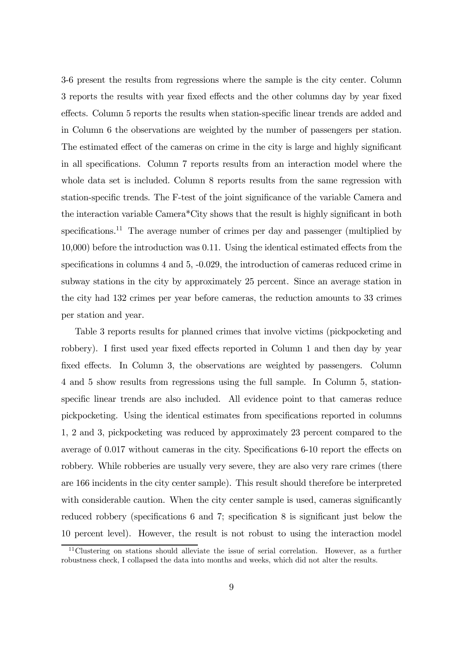3-6 present the results from regressions where the sample is the city center. Column 3 reports the results with year fixed effects and the other columns day by year fixed effects. Column 5 reports the results when station-specific linear trends are added and in Column 6 the observations are weighted by the number of passengers per station. The estimated effect of the cameras on crime in the city is large and highly significant in all specifications. Column 7 reports results from an interaction model where the whole data set is included. Column 8 reports results from the same regression with station-specific trends. The F-test of the joint significance of the variable Camera and the interaction variable Camera\*City shows that the result is highly significant in both specifications.<sup>11</sup> The average number of crimes per day and passenger (multiplied by 10,000) before the introduction was 0.11. Using the identical estimated effects from the specifications in columns 4 and 5, -0.029, the introduction of cameras reduced crime in subway stations in the city by approximately 25 percent. Since an average station in the city had 132 crimes per year before cameras, the reduction amounts to 33 crimes per station and year.

Table 3 reports results for planned crimes that involve victims (pickpocketing and robbery). I first used year fixed effects reported in Column 1 and then day by year fixed effects. In Column 3, the observations are weighted by passengers. Column 4 and 5 show results from regressions using the full sample. In Column 5, stationspecific linear trends are also included. All evidence point to that cameras reduce pickpocketing. Using the identical estimates from specifications reported in columns 1, 2 and 3, pickpocketing was reduced by approximately 23 percent compared to the average of 0.017 without cameras in the city. Specifications 6-10 report the effects on robbery. While robberies are usually very severe, they are also very rare crimes (there are 166 incidents in the city center sample). This result should therefore be interpreted with considerable caution. When the city center sample is used, cameras significantly reduced robbery (specifications 6 and 7; specification 8 is significant just below the 10 percent level). However, the result is not robust to using the interaction model

<sup>&</sup>lt;sup>11</sup>Clustering on stations should alleviate the issue of serial correlation. However, as a further robustness check, I collapsed the data into months and weeks, which did not alter the results.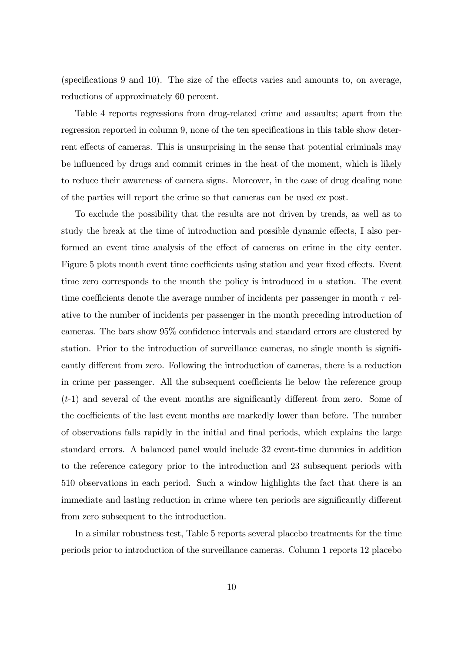(specifications 9 and 10). The size of the effects varies and amounts to, on average, reductions of approximately 60 percent.

Table 4 reports regressions from drug-related crime and assaults; apart from the regression reported in column 9, none of the ten specifications in this table show deterrent effects of cameras. This is unsurprising in the sense that potential criminals may be influenced by drugs and commit crimes in the heat of the moment, which is likely to reduce their awareness of camera signs. Moreover, in the case of drug dealing none of the parties will report the crime so that cameras can be used ex post.

To exclude the possibility that the results are not driven by trends, as well as to study the break at the time of introduction and possible dynamic effects, I also performed an event time analysis of the effect of cameras on crime in the city center. Figure 5 plots month event time coefficients using station and year fixed effects. Event time zero corresponds to the month the policy is introduced in a station. The event time coefficients denote the average number of incidents per passenger in month  $\tau$  relative to the number of incidents per passenger in the month preceding introduction of cameras. The bars show 95% confidence intervals and standard errors are clustered by station. Prior to the introduction of surveillance cameras, no single month is significantly different from zero. Following the introduction of cameras, there is a reduction in crime per passenger. All the subsequent coefficients lie below the reference group (t-1) and several of the event months are significantly different from zero. Some of the coefficients of the last event months are markedly lower than before. The number of observations falls rapidly in the initial and final periods, which explains the large standard errors. A balanced panel would include 32 event-time dummies in addition to the reference category prior to the introduction and 23 subsequent periods with 510 observations in each period. Such a window highlights the fact that there is an immediate and lasting reduction in crime where ten periods are significantly different from zero subsequent to the introduction.

In a similar robustness test, Table 5 reports several placebo treatments for the time periods prior to introduction of the surveillance cameras. Column 1 reports 12 placebo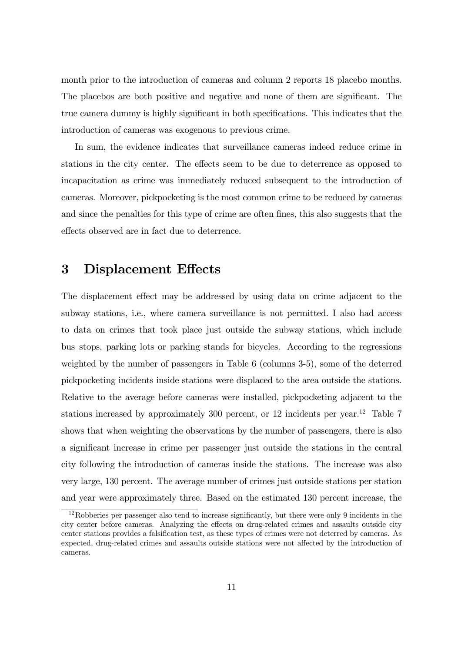month prior to the introduction of cameras and column 2 reports 18 placebo months. The placebos are both positive and negative and none of them are significant. The true camera dummy is highly significant in both specifications. This indicates that the introduction of cameras was exogenous to previous crime.

In sum, the evidence indicates that surveillance cameras indeed reduce crime in stations in the city center. The effects seem to be due to deterrence as opposed to incapacitation as crime was immediately reduced subsequent to the introduction of cameras. Moreover, pickpocketing is the most common crime to be reduced by cameras and since the penalties for this type of crime are often fines, this also suggests that the effects observed are in fact due to deterrence.

### 3 Displacement Effects

The displacement effect may be addressed by using data on crime adjacent to the subway stations, i.e., where camera surveillance is not permitted. I also had access to data on crimes that took place just outside the subway stations, which include bus stops, parking lots or parking stands for bicycles. According to the regressions weighted by the number of passengers in Table 6 (columns 3-5), some of the deterred pickpocketing incidents inside stations were displaced to the area outside the stations. Relative to the average before cameras were installed, pickpocketing adjacent to the stations increased by approximately  $300$  percent, or 12 incidents per year.<sup>12</sup> Table 7 shows that when weighting the observations by the number of passengers, there is also a significant increase in crime per passenger just outside the stations in the central city following the introduction of cameras inside the stations. The increase was also very large, 130 percent. The average number of crimes just outside stations per station and year were approximately three. Based on the estimated 130 percent increase, the

<sup>12</sup>Robberies per passenger also tend to increase significantly, but there were only 9 incidents in the city center before cameras. Analyzing the effects on drug-related crimes and assaults outside city center stations provides a falsification test, as these types of crimes were not deterred by cameras. As expected, drug-related crimes and assaults outside stations were not affected by the introduction of cameras.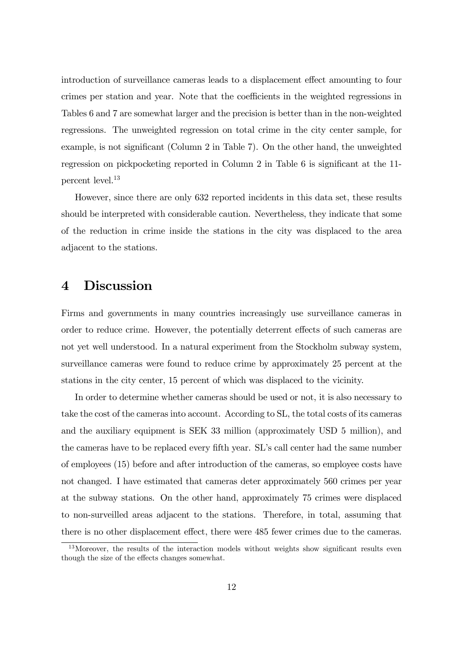introduction of surveillance cameras leads to a displacement effect amounting to four crimes per station and year. Note that the coefficients in the weighted regressions in Tables 6 and 7 are somewhat larger and the precision is better than in the non-weighted regressions. The unweighted regression on total crime in the city center sample, for example, is not significant (Column 2 in Table 7). On the other hand, the unweighted regression on pickpocketing reported in Column 2 in Table 6 is significant at the 11 percent level.<sup>13</sup>

However, since there are only 632 reported incidents in this data set, these results should be interpreted with considerable caution. Nevertheless, they indicate that some of the reduction in crime inside the stations in the city was displaced to the area adjacent to the stations.

#### 4 Discussion

Firms and governments in many countries increasingly use surveillance cameras in order to reduce crime. However, the potentially deterrent effects of such cameras are not yet well understood. In a natural experiment from the Stockholm subway system, surveillance cameras were found to reduce crime by approximately 25 percent at the stations in the city center, 15 percent of which was displaced to the vicinity.

In order to determine whether cameras should be used or not, it is also necessary to take the cost of the cameras into account. According to SL, the total costs of its cameras and the auxiliary equipment is SEK 33 million (approximately USD 5 million), and the cameras have to be replaced every fifth year. SL's call center had the same number of employees (15) before and after introduction of the cameras, so employee costs have not changed. I have estimated that cameras deter approximately 560 crimes per year at the subway stations. On the other hand, approximately 75 crimes were displaced to non-surveilled areas adjacent to the stations. Therefore, in total, assuming that there is no other displacement effect, there were 485 fewer crimes due to the cameras.

<sup>&</sup>lt;sup>13</sup>Moreover, the results of the interaction models without weights show significant results even though the size of the effects changes somewhat.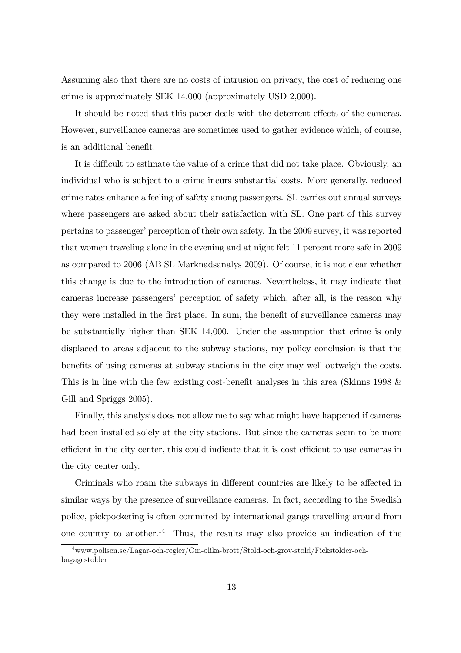Assuming also that there are no costs of intrusion on privacy, the cost of reducing one crime is approximately SEK 14,000 (approximately USD 2,000).

It should be noted that this paper deals with the deterrent effects of the cameras. However, surveillance cameras are sometimes used to gather evidence which, of course, is an additional benefit.

It is difficult to estimate the value of a crime that did not take place. Obviously, an individual who is subject to a crime incurs substantial costs. More generally, reduced crime rates enhance a feeling of safety among passengers. SL carries out annual surveys where passengers are asked about their satisfaction with SL. One part of this survey pertains to passenger' perception of their own safety. In the 2009 survey, it was reported that women traveling alone in the evening and at night felt 11 percent more safe in 2009 as compared to 2006 (AB SL Marknadsanalys 2009). Of course, it is not clear whether this change is due to the introduction of cameras. Nevertheless, it may indicate that cameras increase passengers' perception of safety which, after all, is the reason why they were installed in the first place. In sum, the benefit of surveillance cameras may be substantially higher than SEK 14,000. Under the assumption that crime is only displaced to areas adjacent to the subway stations, my policy conclusion is that the benefits of using cameras at subway stations in the city may well outweigh the costs. This is in line with the few existing cost-benefit analyses in this area (Skinns 1998 & Gill and Spriggs 2005).

Finally, this analysis does not allow me to say what might have happened if cameras had been installed solely at the city stations. But since the cameras seem to be more efficient in the city center, this could indicate that it is cost efficient to use cameras in the city center only.

Criminals who roam the subways in different countries are likely to be affected in similar ways by the presence of surveillance cameras. In fact, according to the Swedish police, pickpocketing is often commited by international gangs travelling around from one country to another.<sup>14</sup> Thus, the results may also provide an indication of the

<sup>14</sup>www.polisen.se/Lagar-och-regler/Om-olika-brott/Stold-och-grov-stold/Fickstolder-ochbagagestolder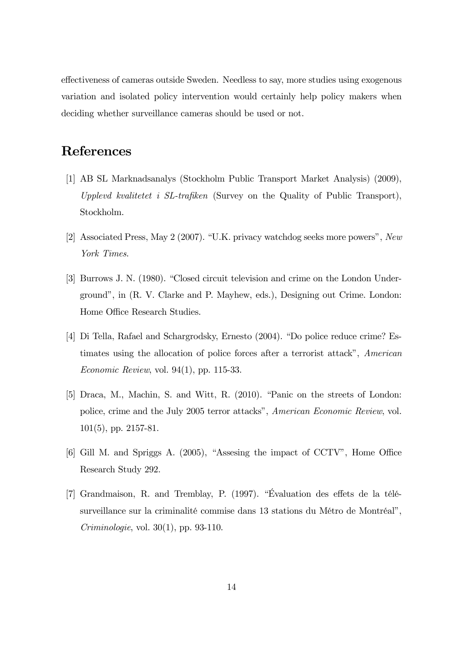effectiveness of cameras outside Sweden. Needless to say, more studies using exogenous variation and isolated policy intervention would certainly help policy makers when deciding whether surveillance cameras should be used or not.

## References

- [1] AB SL Marknadsanalys (Stockholm Public Transport Market Analysis) (2009), Upplevd kvalitetet i SL-trafiken (Survey on the Quality of Public Transport), Stockholm.
- [2] Associated Press, May 2 (2007). "U.K. privacy watchdog seeks more powers", New York Times.
- [3] Burrows J. N. (1980). "Closed circuit television and crime on the London Underground", in (R. V. Clarke and P. Mayhew, eds.), Designing out Crime. London: Home Office Research Studies.
- [4] Di Tella, Rafael and Schargrodsky, Ernesto (2004). "Do police reduce crime? Estimates using the allocation of police forces after a terrorist attack", American Economic Review, vol. 94(1), pp. 115-33.
- [5] Draca, M., Machin, S. and Witt, R. (2010). "Panic on the streets of London: police, crime and the July 2005 terror attacks", American Economic Review, vol. 101(5), pp. 2157-81.
- [6] Gill M. and Spriggs A. (2005), "Assesing the impact of CCTV", Home Office Research Study 292.
- [7] Grandmaison, R. and Tremblay, P. (1997). "Évaluation des effets de la télésurveillance sur la criminalité commise dans 13 stations du Métro de Montréal", Criminologie, vol. 30(1), pp. 93-110.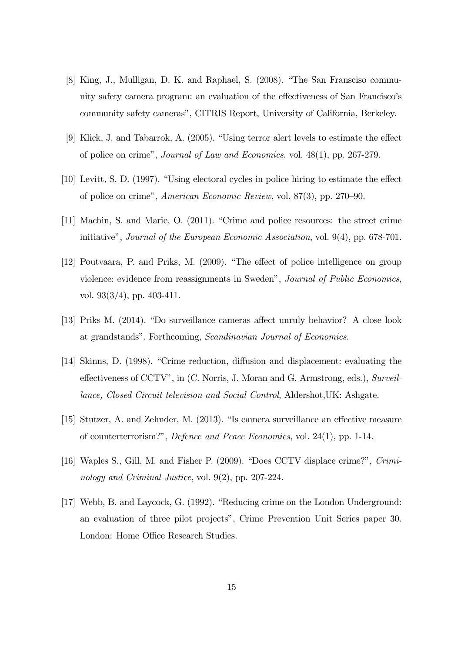- [8] King, J., Mulligan, D. K. and Raphael, S. (2008). "The San Fransciso community safety camera program: an evaluation of the effectiveness of San Francisco's community safety cameras", CITRIS Report, University of California, Berkeley.
- [9] Klick, J. and Tabarrok, A. (2005). "Using terror alert levels to estimate the effect of police on crime", Journal of Law and Economics, vol. 48(1), pp. 267-279.
- [10] Levitt, S. D. (1997). "Using electoral cycles in police hiring to estimate the effect of police on crime", American Economic Review, vol. 87(3), pp. 270—90.
- [11] Machin, S. and Marie, O. (2011). "Crime and police resources: the street crime initiative", Journal of the European Economic Association, vol. 9(4), pp. 678-701.
- [12] Poutvaara, P. and Priks, M. (2009). "The effect of police intelligence on group violence: evidence from reassignments in Sweden", Journal of Public Economics, vol. 93(3/4), pp. 403-411.
- [13] Priks M. (2014). "Do surveillance cameras affect unruly behavior? A close look at grandstands", Forthcoming, Scandinavian Journal of Economics.
- [14] Skinns, D. (1998). "Crime reduction, diffusion and displacement: evaluating the effectiveness of CCTV", in (C. Norris, J. Moran and G. Armstrong, eds.), Surveillance, Closed Circuit television and Social Control, Aldershot,UK: Ashgate.
- [15] Stutzer, A. and Zehnder, M. (2013). "Is camera surveillance an effective measure of counterterrorism?", Defence and Peace Economics, vol. 24(1), pp. 1-14.
- [16] Waples S., Gill, M. and Fisher P. (2009). "Does CCTV displace crime?", Criminology and Criminal Justice, vol. 9(2), pp. 207-224.
- [17] Webb, B. and Laycock, G. (1992). "Reducing crime on the London Underground: an evaluation of three pilot projects", Crime Prevention Unit Series paper 30. London: Home Office Research Studies.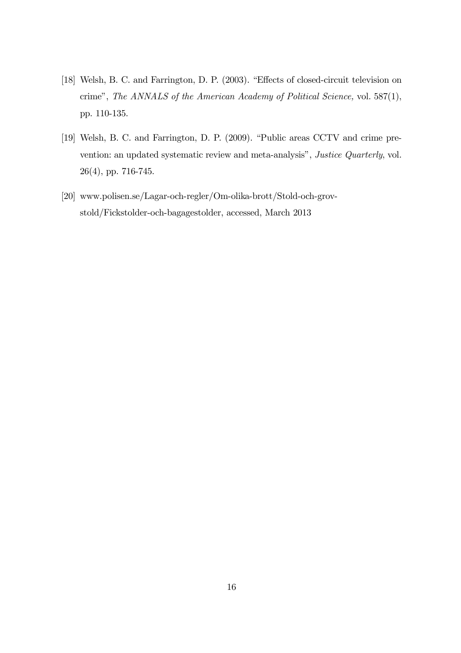- [18] Welsh, B. C. and Farrington, D. P. (2003). "Effects of closed-circuit television on crime", The ANNALS of the American Academy of Political Science, vol. 587(1), pp. 110-135.
- [19] Welsh, B. C. and Farrington, D. P. (2009). "Public areas CCTV and crime prevention: an updated systematic review and meta-analysis", Justice Quarterly, vol. 26(4), pp. 716-745.
- [20] www.polisen.se/Lagar-och-regler/Om-olika-brott/Stold-och-grovstold/Fickstolder-och-bagagestolder, accessed, March 2013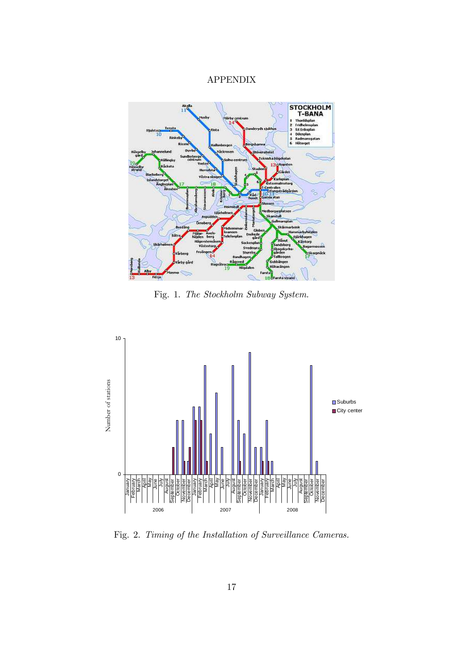#### APPENDIX



Fig. 1. The Stockholm Subway System.



Fig. 2. Timing of the Installation of Surveillance Cameras.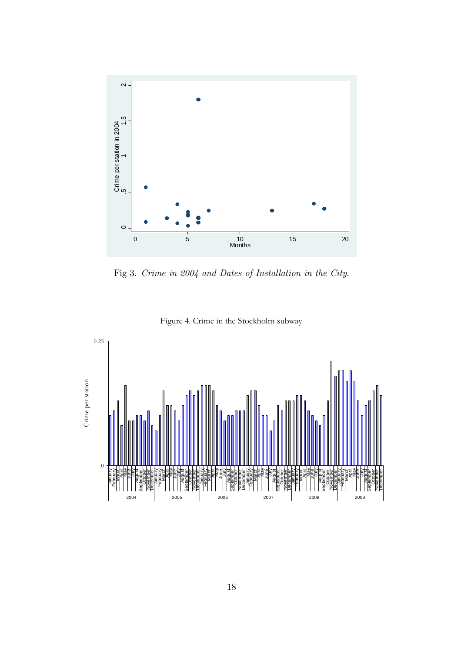

Fig 3. Crime in 2004 and Dates of Installation in the City.



Figure 4. Crime in the Stockholm subway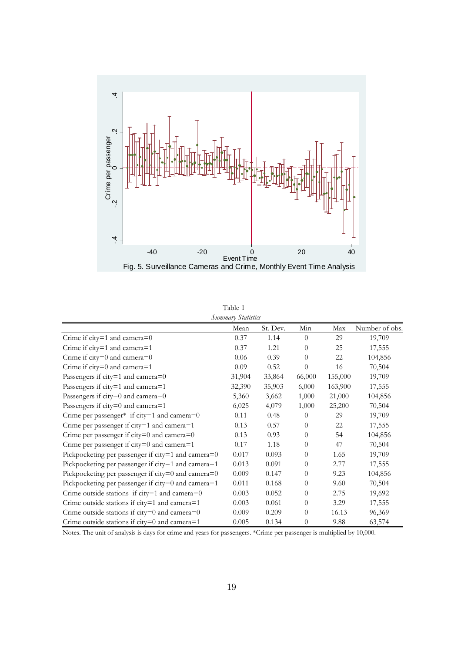

| Table 1            |
|--------------------|
| Summary Statistic. |

|                                                      | Summary Statistics |          |          |         |                |
|------------------------------------------------------|--------------------|----------|----------|---------|----------------|
|                                                      | Mean               | St. Dev. | Min      | Max     | Number of obs. |
| Crime if $city=1$ and camera=0                       | 0.37               | 1.14     | $\theta$ | 29      | 19,709         |
| Crime if city=1 and camera=1                         | 0.37               | 1.21     | $\theta$ | 25      | 17,555         |
| Crime if $city=0$ and camera= $0$                    | 0.06               | 0.39     | $\Omega$ | 22      | 104,856        |
| Crime if $city=0$ and camera=1                       | 0.09               | 0.52     | $\theta$ | 16      | 70,504         |
| Passengers if $city=1$ and $camera=0$                | 31,904             | 33,864   | 66,000   | 155,000 | 19,709         |
| Passengers if city=1 and camera=1                    | 32,390             | 35,903   | 6,000    | 163,900 | 17,555         |
| Passengers if $city=0$ and $camera=0$                | 5,360              | 3,662    | 1,000    | 21,000  | 104,856        |
| Passengers if city=0 and camera=1                    | 6,025              | 4,079    | 1,000    | 25,200  | 70,504         |
| Crime per passenger* if city=1 and camera= $0$       | 0.11               | 0.48     | $\theta$ | 29      | 19,709         |
| Crime per passenger if $city=1$ and $camera=1$       | 0.13               | 0.57     | $\theta$ | 22      | 17,555         |
| Crime per passenger if $city=0$ and $camera=0$       | 0.13               | 0.93     | $\theta$ | 54      | 104,856        |
| Crime per passenger if $city=0$ and camera=1         | 0.17               | 1.18     | $\theta$ | 47      | 70,504         |
| Pickpocketing per passenger if city=1 and camera=0   | 0.017              | 0.093    | $\theta$ | 1.65    | 19,709         |
| Pickpocketing per passenger if city=1 and camera=1   | 0.013              | 0.091    | $\theta$ | 2.77    | 17,555         |
| Pickpocketing per passenger if city=0 and camera=0   | 0.009              | 0.147    | $\theta$ | 9.23    | 104,856        |
| Pickpocketing per passenger if $city=0$ and camera=1 | 0.011              | 0.168    | $\theta$ | 9.60    | 70,504         |
| Crime outside stations if $city=1$ and $camera=0$    | 0.003              | 0.052    | $\Omega$ | 2.75    | 19,692         |
| Crime outside stations if city=1 and camera=1        | 0.003              | 0.061    | $\theta$ | 3.29    | 17,555         |
| Crime outside stations if $city=0$ and $camera=0$    | 0.009              | 0.209    | $\theta$ | 16.13   | 96,369         |
| Crime outside stations if $city=0$ and $camera=1$    | 0.005              | 0.134    | $\theta$ | 9.88    | 63,574         |

Notes. The unit of analysis is days for crime and years for passengers. \*Crime per passenger is multiplied by 10,000.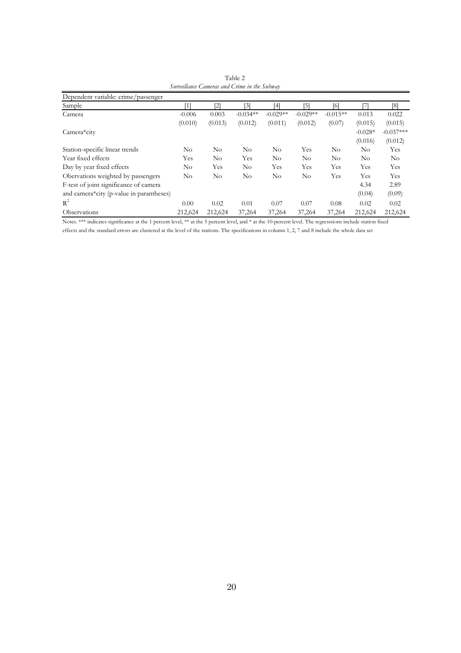| Dependent variable: crime/passenger      |          |                              |            |            |            |            |           |             |
|------------------------------------------|----------|------------------------------|------------|------------|------------|------------|-----------|-------------|
| Sample                                   | '11      | $\left\lceil 2 \right\rceil$ | [3]        | [4]        | $\sqrt{5}$ | [6]        |           | [8]         |
| Camera                                   | $-0.006$ | 0.003                        | $-0.034**$ | $-0.029**$ | $-0.029**$ | $-0.015**$ | 0.013     | 0.022       |
|                                          | (0.010)  | (0.013)                      | (0.012)    | (0.011)    | (0.012)    | (0.07)     | (0.015)   | (0.015)     |
| Camera*city                              |          |                              |            |            |            |            | $-0.028*$ | $-0.037***$ |
|                                          |          |                              |            |            |            |            | (0.016)   | (0.012)     |
| Station-specific linear trends           | $\rm No$ | No                           | $\rm No$   | No         | Yes        | No         | $\rm No$  | Yes         |
| Year fixed effects                       | Yes      | No                           | Yes        | No         | $\rm No$   | $\rm No$   | $\rm No$  | No          |
| Day by year fixed effects                | $\rm No$ | Yes                          | $\rm No$   | Yes        | Yes        | Yes        | Yes       | Yes         |
| Obervations weighted by passengers       | No       | No                           | $\rm No$   | No         | $\rm No$   | Yes        | Yes       | Yes         |
| F-test of joint significance of camera   |          |                              |            |            |            |            | 4.34      | 2.89        |
| and camera*city (p-value in parantheses) |          |                              |            |            |            |            | (0.04)    | (0.09)      |
| $R^2$                                    | 0.00     | 0.02                         | 0.01       | 0.07       | 0.07       | 0.08       | 0.02      | 0.02        |
| Observations                             | 212,624  | 212,624                      | 37,264     | 37,264     | 37,264     | 37,264     | 212,624   | 212,624     |

 Table 2 *Surveillance Cameras and Crime in the Subway*

Notes. \*\*\* indicates significance at the 1 percent level, \*\* at the 5 percent level, and \* at the 10-percent level. The regresssions include station fixed effects and the standard errors are clustered at the level of the stations. The specifications in column 1, 2, 7 and 8 include the whole data set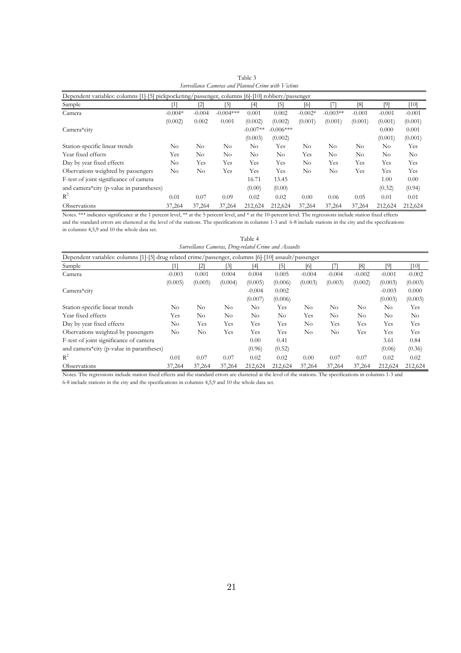| Dependent variables: columns [1]-[5] pickpocketing/passenger, columns [6]-[10] robbery/passenger |           |          |             |            |                   |           |            |          |          |          |
|--------------------------------------------------------------------------------------------------|-----------|----------|-------------|------------|-------------------|-----------|------------|----------|----------|----------|
| Sample                                                                                           | [1]       | [2]      | [3]         | [4]        | $\lceil 5 \rceil$ | [6]       |            | [8]      | [9]      | $[10]$   |
| Camera                                                                                           | $-0.004*$ | $-0.004$ | $-0.004***$ | 0.001      | 0.002             | $-0.002*$ | $-0.003**$ | $-0.001$ | $-0.001$ | $-0.001$ |
|                                                                                                  | (0.002)   | 0.002    | 0.001       | (0.002)    | (0.002)           | (0.001)   | (0.001)    | (0.001)  | (0.001)  | (0.001)  |
| Camera*city                                                                                      |           |          |             | $-0.007**$ | $-0.006***$       |           |            |          | 0.000    | 0.001    |
|                                                                                                  |           |          |             | (0.003)    | (0.002)           |           |            |          | (0.001)  | (0.001)  |
| Station-specific linear trends                                                                   | $\rm No$  | No       | No          | No         | Yes               | No        | No         | No.      | $\rm No$ | Yes      |
| Year fixed effects                                                                               | Yes       | No       | No          | No         | No                | Yes       | No         | No       | No       | No       |
| Day by year fixed effects                                                                        | No        | Yes      | Yes         | Yes        | Yes               | $\rm No$  | Yes        | Yes      | Yes      | Yes      |
| Obervations weighted by passengers                                                               | No        | No       | Yes         | Yes        | Yes               | No        | No         | Yes      | Yes      | Yes      |
| F-test of joint significance of camera                                                           |           |          |             | 16.71      | 13.45             |           |            |          | 1.00     | 0.00     |
| and camera*city (p-value in parantheses)                                                         |           |          |             | (0.00)     | (0.00)            |           |            |          | (0.32)   | (0.94)   |
| $R^2$                                                                                            | 0.01      | 0.07     | 0.09        | 0.02       | 0.02              | 0.00      | 0.06       | 0.05     | 0.01     | 0.01     |
| Observations                                                                                     | 37,264    | 37,264   | 37,264      | 212,624    | 212,624           | 37,264    | 37,264     | 37,264   | 212,624  | 212,624  |

| Table 3                                             |
|-----------------------------------------------------|
| Surveillance Cameras and Planned Crime with Victims |

Notes. \*\*\* indicates significance at the 1 percent level, \*\* at the 5 percent level, and \* at the 10-percent level. The regressions include station fixed effects and the standard errors are clustered at the level of the stations. The specifications in columns 1-3 and 6-8 include stations in the city and the specifications in columns 4,5,9 and 10 the whole data set.

Table 4

| Surveillance Cameras, Drug-related Crime and Assaults                                                 |          |          |         |          |         |          |          |          |          |                |
|-------------------------------------------------------------------------------------------------------|----------|----------|---------|----------|---------|----------|----------|----------|----------|----------------|
| Dependent variables: columns [1]-[5] drug related crime/passenger, columns [6]-[10] assault/passenger |          |          |         |          |         |          |          |          |          |                |
| Sample                                                                                                |          | [2]      | [3]     | [4]      | [5]     | [6]      |          | [8]      | [9]      | [10]           |
| Camera                                                                                                | $-0.003$ | 0.001    | 0.004   | 0.004    | 0.005   | $-0.004$ | $-0.004$ | $-0.002$ | $-0.001$ | $-0.002$       |
|                                                                                                       | (0.005)  | (0.005)  | (0.004) | (0.005)  | (0.006) | (0.003)  | (0.003)  | (0.002)  | (0.003)  | (0.003)        |
| Camera*city                                                                                           |          |          |         | $-0.004$ | 0.002   |          |          |          | $-0.003$ | 0.000          |
|                                                                                                       |          |          |         | (0.007)  | (0.006) |          |          |          | (0.003)  | (0.003)        |
| Station-specific linear trends                                                                        | No.      | No       | No      | $\rm No$ | Yes     | No       | No       | No       | No       | Yes            |
| Year fixed effects                                                                                    | Yes      | No       | No      | No.      | No      | Yes      | No       | No       | No       | N <sub>o</sub> |
| Day by year fixed effects                                                                             | No       | Yes      | Yes     | Yes      | Yes     | $\rm No$ | Yes      | Yes      | Yes      | Yes            |
| Obervations weighted by passengers                                                                    | No       | $\rm No$ | Yes     | Yes      | Yes     | No       | $\rm No$ | Yes      | Yes      | Yes            |
| F-test of joint significance of camera                                                                |          |          |         | 0.00     | 0.41    |          |          |          | 3.61     | 0.84           |
| and camera*city (p-value in parantheses)                                                              |          |          |         | (0.96)   | (0.52)  |          |          |          | (0.06)   | (0.36)         |
| $R^2$                                                                                                 | 0.01     | 0.07     | 0.07    | 0.02     | 0.02    | 0.00     | 0.07     | 0.07     | 0.02     | 0.02           |
| Observations                                                                                          | 37,264   | 37,264   | 37,264  | 212,624  | 212,624 | 37,264   | 37,264   | 37,264   | 212,624  | 212,624        |

Notes. The regressions include station fixed effects and the standard errors are clustered at the level of the stations. The specifications in columns 1-3 and 6-8 include stations in the city and the specifications in columns 4,5,9 and 10 the whole data set.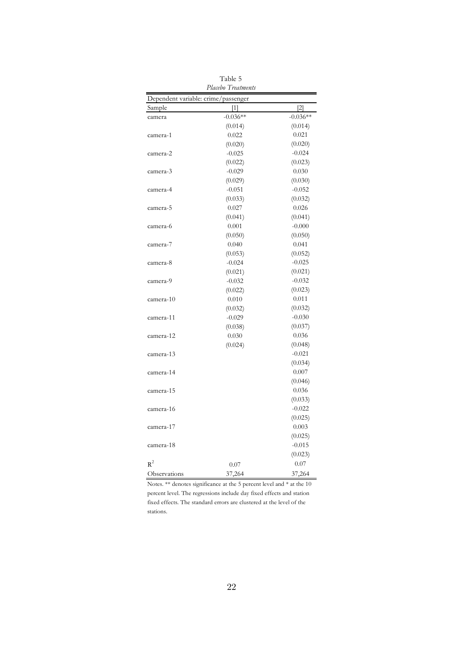| Placebo Treatments                  |            |            |  |  |  |  |
|-------------------------------------|------------|------------|--|--|--|--|
| Dependent variable: crime/passenger |            |            |  |  |  |  |
| Sample                              | $[1]$      | $[2]$      |  |  |  |  |
| camera                              | $-0.036**$ | $-0.036**$ |  |  |  |  |
|                                     | (0.014)    | (0.014)    |  |  |  |  |
| camera-1                            | 0.022      | 0.021      |  |  |  |  |
|                                     | (0.020)    | (0.020)    |  |  |  |  |
| camera-2                            | $-0.025$   | $-0.024$   |  |  |  |  |
|                                     | (0.022)    | (0.023)    |  |  |  |  |
| camera-3                            | $-0.029$   | 0.030      |  |  |  |  |
|                                     | (0.029)    | (0.030)    |  |  |  |  |
| camera-4                            | $-0.051$   | $-0.052$   |  |  |  |  |
|                                     | (0.033)    | (0.032)    |  |  |  |  |
| camera-5                            | 0.027      | 0.026      |  |  |  |  |
|                                     | (0.041)    | (0.041)    |  |  |  |  |
| camera-6                            | 0.001      | $-0.000$   |  |  |  |  |
|                                     | (0.050)    | (0.050)    |  |  |  |  |
| camera-7                            | 0.040      | 0.041      |  |  |  |  |
|                                     | (0.053)    | (0.052)    |  |  |  |  |
| camera-8                            | $-0.024$   | $-0.025$   |  |  |  |  |
|                                     | (0.021)    | (0.021)    |  |  |  |  |
| camera-9                            | $-0.032$   | $-0.032$   |  |  |  |  |
|                                     | (0.022)    | (0.023)    |  |  |  |  |
| camera-10                           | 0.010      | 0.011      |  |  |  |  |
|                                     | (0.032)    | (0.032)    |  |  |  |  |
| camera-11                           | $-0.029$   | $-0.030$   |  |  |  |  |
|                                     | (0.038)    | (0.037)    |  |  |  |  |
| camera-12                           | 0.030      | 0.036      |  |  |  |  |
|                                     | (0.024)    | (0.048)    |  |  |  |  |
| camera-13                           |            | $-0.021$   |  |  |  |  |
|                                     |            | (0.034)    |  |  |  |  |
| camera-14                           |            | 0.007      |  |  |  |  |
|                                     |            | (0.046)    |  |  |  |  |
| camera-15                           |            | 0.036      |  |  |  |  |
|                                     |            | (0.033)    |  |  |  |  |
| camera-16                           |            | $-0.022$   |  |  |  |  |
|                                     |            | (0.025)    |  |  |  |  |
| camera-17                           |            | 0.003      |  |  |  |  |
|                                     |            | (0.025)    |  |  |  |  |
| camera-18                           |            | $-0.015$   |  |  |  |  |
|                                     |            | (0.023)    |  |  |  |  |
| $R^2$                               | 0.07       | 0.07       |  |  |  |  |
| Observations                        | 37,264     | 37,264     |  |  |  |  |

Table 5

Notes. \*\* denotes significance at the 5 percent level and \* at the 10 percent level. The regressions include day fixed effects and station fixed effects. The standard errors are clustered at the level of the stations.